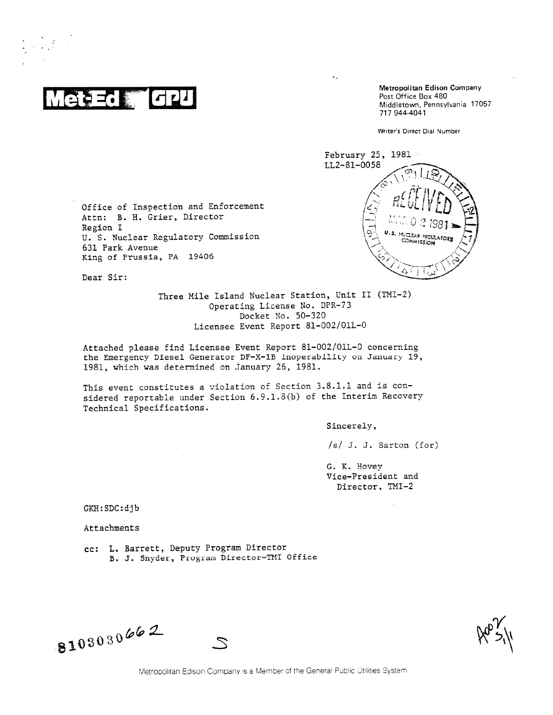. \_

,

Metropolitan Edison Company<br>
Post Office Box 480<br>
Metropolitan Edison Company<br>
Metropolitan Edison Company<br>
Metropolitan Edison Company<br>
170 Post Office Box 480 Middletown, Pennsylvania 17057 717 944-4041

Writer's Direct Dial Number



Office of Inspection and Enforcement Attn: B. H. Grier, Director Region I U. S. Nuclear Regulatory Commission 631 Park Avenue King of Prussia, PA 19406

Dear Sir:

Three Mile Island Nuclear Station, Unit II (TMI-2) Operating License No. DPR-73 Docket No. 50-320 Licensee Event Report 81-002/01L-0

Attached please find Licensee Event Report 81-002/01L-0 concerning the Emergency Diesel Generator DF-X-1B inoperability on January 19, 1981, which was determined on January 25, 1981.

This event constitutes a violation of Section 3.8.1.1 and is considered reportable under Section 6.9.1.8(b) of the Interim Recovery Technical Specifications.

Sincerely,

 $\star$  .

/s/ J. J. Barton (for)

G. K. Hovey Vice-President and Director. IMI-2

GKH:SDC:djb

Attachments

cc: L. Barrett, Deputy Program Director B. J. Snyder, Program Director—MI Office

-

 $810303066$ 

Metropolitan Edison Company is a Member of the General Public Utilities System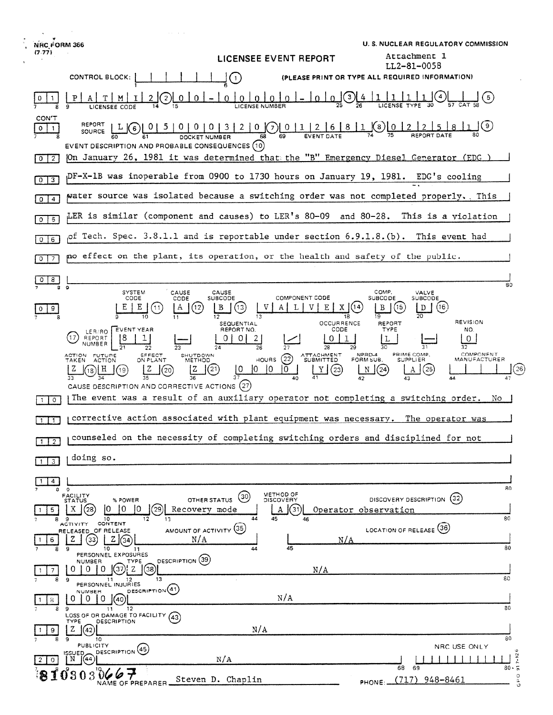| NRC FORM 366                                                                                                                                                    |                                                                                                                                                  | <b>U.S. NUCLEAR REGULATORY COMMISSION</b>                                                                               |
|-----------------------------------------------------------------------------------------------------------------------------------------------------------------|--------------------------------------------------------------------------------------------------------------------------------------------------|-------------------------------------------------------------------------------------------------------------------------|
| (7.77)                                                                                                                                                          | LICENSEE EVENT REPORT                                                                                                                            | Attachment 1                                                                                                            |
| CONTROL BLOCK:                                                                                                                                                  | $\left(\begin{smallmatrix} 1 \end{smallmatrix}\right)$                                                                                           | LL2-81-0058<br>(PLEASE PRINT OR TYPE ALL REQUIRED INFORMATION)                                                          |
| 0                                                                                                                                                               | $\mathbf{3}$                                                                                                                                     |                                                                                                                         |
| CON'T<br><b>REPORT</b><br>$\circ$<br>(6)<br>$\mathbf{1}$<br>SOURCE                                                                                              | $\frac{0 0 0 3 2 0}{\text{pocker number}} \frac{2 0 0}{\text{ps}} \frac{0 0 1 2 6 811}{\text{ps}} \frac{8 1 2 0 012}{\text{evenr} 0 \text{ATE}}$ | (9)                                                                                                                     |
| EVENT DESCRIPTION AND PROBABLE CONSEQUENCES (10)<br> On January 26, 1981 it was determined that the "B" Emergency Diesel Generator (EDG)<br>$\overline{2}$<br>0 |                                                                                                                                                  |                                                                                                                         |
| pF-X-1B was inoperable from 0900 to 1730 hours on January 19, 1981. EDG's cooling<br>$\vert 3 \vert$<br>$\circ$                                                 |                                                                                                                                                  |                                                                                                                         |
| water source was isolated because a switching order was not completed properly. This<br>$\overline{4}$<br>0                                                     |                                                                                                                                                  |                                                                                                                         |
| LER is similar (component and causes) to LER's 80-09 and 80-28. This is a yiolation<br>5<br>O                                                                   |                                                                                                                                                  |                                                                                                                         |
| ΙO,<br>$\overline{6}$<br>0                                                                                                                                      | Tech. Spec. 3.8.1.1 and is reportable under section 6.9.1.8.(b). This event had                                                                  |                                                                                                                         |
| mo effect on the plant, its operation, or the health and safety of the public.<br>7<br>٥                                                                        |                                                                                                                                                  |                                                                                                                         |
| 8<br>$\Omega$                                                                                                                                                   |                                                                                                                                                  | 80                                                                                                                      |
| SYSTEM<br>CAUSE<br>CODE<br>CODE<br>A<br>(12<br>9.                                                                                                               | CAUSE<br><b>COMPONENT CODE</b><br>SUBCODE<br>(13<br>v<br>Ε<br>В<br>L<br>X                                                                        | COMP.<br>VALVE<br>SUBCODE<br>SUBCODE<br>B<br>(16)<br>[14<br>(15<br>D                                                    |
| EVENT YEAR<br>LER/RO                                                                                                                                            | 18<br>OCCURRENCE<br>SEQUENTIAL<br>REPORT NO.<br>CODE                                                                                             | 19<br><b>REVISION</b><br>REPORT<br>TYPE<br>NO.                                                                          |
| REPORT<br>NUMBER<br>22                                                                                                                                          | 2<br>U<br>0<br>26<br>27<br>28                                                                                                                    | 0<br>30<br>32                                                                                                           |
| ACTION FUTURE<br>SFFECT<br>SHUTDOWN<br><b>ACTION</b><br>ON PLANT<br>TAKEN<br>METHOD<br>20<br>CAUSE DESCRIPTION AND CORRECTIVE ACTIONS (27)                      | <b>ATTACHMENT</b><br>(22)<br><b>HOURS</b><br><b>SUBMITTED</b><br>$^{(21)}$<br>10<br>10<br>0<br>(23)<br>40                                        | COMPONENT<br>NPRD-4<br>PRIME COMP.<br>MANUFACTURER<br>FORM SUB.<br><b>SUPPLIER</b><br>25<br>26<br>[24]<br>N<br>42<br>44 |
| 0                                                                                                                                                               | The event was a result of an auxiliary operator not completing a switching order.                                                                | NO                                                                                                                      |
| $\mathbf{1}$                                                                                                                                                    | corrective action associated with plant equipment was necessary. The operator was                                                                |                                                                                                                         |
| counseled on the necessity of completing switching orders and disciplined for not<br>$1 \mid 2 \mid$                                                            |                                                                                                                                                  |                                                                                                                         |
| doing so.<br>$\overline{\mathbf{3}}$                                                                                                                            |                                                                                                                                                  |                                                                                                                         |
| 4<br>9 9                                                                                                                                                        |                                                                                                                                                  | 80                                                                                                                      |
| FACILITY<br>STATUS<br>OTHER STATUS<br>% POWER<br>Ю<br>10.<br>X.<br>(28<br>10<br>29<br>Recovery mode<br>5 <sup>1</sup><br>10<br>8<br>13                          | METHOD OF<br>(30)<br>DISCOVERY<br>(31)<br>А<br>44<br>45<br>46                                                                                    | (32)<br>DISCOVERY DESCRIPTION<br>Operator observation<br>80                                                             |
| CONTENT<br><b>ACTIVITY</b><br>AMOUNT OF ACTIVITY (35)<br>RELEASED OF RELEASE<br>N/A<br>z<br>z<br>33<br>6                                                        | N/A                                                                                                                                              | LOCATION OF RELEASE (36)                                                                                                |
| 9<br>10<br>8<br>11<br>PERSONNEL EXPOSURES<br>DESCRIPTION (39)<br><b>NUMBER</b><br>TYPE                                                                          | 45<br>44                                                                                                                                         | 80                                                                                                                      |
| O.<br>0<br>0<br>38<br>7<br>13<br>8<br>9<br>$12 \,$<br>-11                                                                                                       | N/A                                                                                                                                              | 80                                                                                                                      |
| PERSONNEL INJURIES<br>DESCRIPTION(41)<br>NUMBER<br>0<br>O<br>0 <sup>1</sup><br>(40)<br>8                                                                        | N/A                                                                                                                                              |                                                                                                                         |
| 12<br>9<br>11<br>LOSS OF OR DAMAGE TO FACILITY<br>(43)<br>DESCRIPTION<br>TYPE                                                                                   |                                                                                                                                                  | 80                                                                                                                      |
| z<br>(42)<br>9<br>10<br><b>PUBLICITY</b>                                                                                                                        | N/A                                                                                                                                              | 80                                                                                                                      |
| DESCRIPTION <sup>(45</sup><br><b>ISSUED</b><br>N<br>(44)<br>$\circ$<br>2                                                                                        | N/A                                                                                                                                              | NRC USE ONLY<br>$7 - 92$                                                                                                |
| 0303<br>NAME OF PREPARER                                                                                                                                        | Steven D. Chaplin                                                                                                                                | 80.5<br>68<br>69<br>$\circ$<br>$(717)$ 948-8461<br>PHONE:.                                                              |

 $\ddot{\phantom{0}}$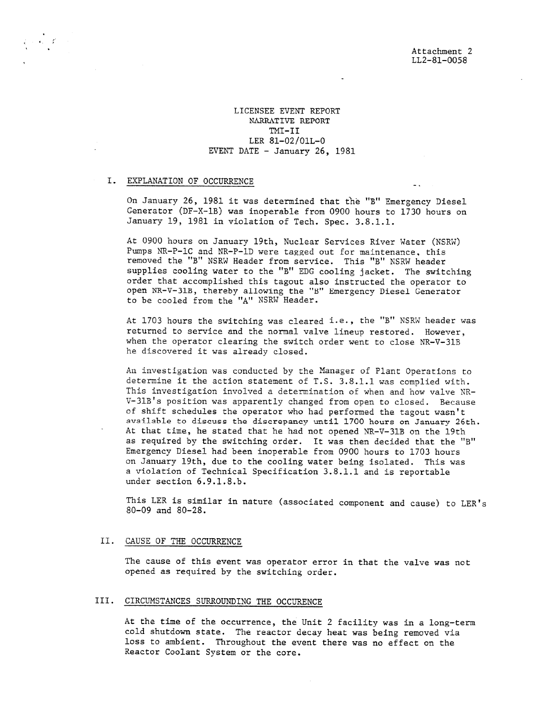### LICENSEE EVENT REPORT NARRATIVE REPORT TMI-II LER 81-02/01L-0 EVENT DATE - January 26, 1981

# I. EXPLANATION OF OCCURRENCE

.

. . .

On January 26, 1981 it was determined that fhe "B" Emergency Diesel Generator (DF-X-1B) was inoperable from 0900 hours to 1730 hours on January 19, 1981 in violation of Tech. Spec. 3.8.1.1.

At 0900 hours on January 19th, Nuclear Services River Water (NSRW) Pumps NR-P-1C and NR-P-1D were tagged out for maintenance, this removed the "B" NSRW Header from service. This "B" NSRW header supplies cooling water to the "B" EDG cooling jacket. The switching order that accomplished this tagout also instructed the operator to open NR-V-31B, thereby allowing the "B" Emergency Diesel Generator to be cooled from the "A" NSRW Header.

At 1703 hours the switching was cleared i.e., the "B" NSRW header was returned to service and the normal valve lineup restored. However, when the operator clearing the switch order went to close NR-V-31B he discovered it was already closed.

An investigation was conducted by the Manager of Plant Operations to determine it the action statement of T.S. 3.8.1.1 was complied with. This investigation involved a determination of when and how valve NR-V-31B's position was apparently changed from open to closed. Because of shift schedules the operator who had performed the tagout wasn't available to discuss the discrepancy until 1700 hours on January 26th. At that time, he stated that he had not opened NR-V-31B on the 19th as required by the switching order. It was then decided that the "B" Emergency Diesel had been inoperable from 0900 hours to 1703 hours on January 19th, due to the cooling water being isolated. This was a violation of Technical Specification 3.8.1.1 and is reportable under section 6.9.1.8.b.

This LER is similar in nature (associated component and cause) to LER's 80-09 and 80-28.

#### II. CAUSE OF THE OCCURRENCE

The cause of this event was operator error in that the valve was not opened as required by the switching order.

#### III. CIRCUMSTANCES SURROUNDING THE OCCURENCE

At the time of the occurrence, the Unit 2 facility was in a long-term cold shutdown state. The reactor decay heat was being removed via loss to ambient. Throughout the event there was no effect on the Reactor Coolant System or the core.